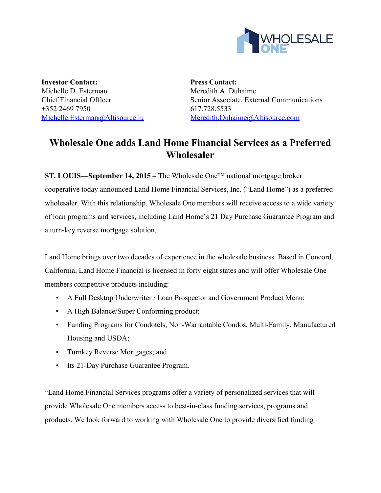

**Investor Contact:** Michelle D. Esterman Chief Financial Officer +352 2469 7950 [Michelle.Esterman@Altisource.lu](mailto:Michelle.Esterman@Altisource.lu)

**Press Contact:** Meredith A. Duhaime Senior Associate, External Communications 617.728.5533 [Meredith.Duhaime@Altisource.com](mailto:Meredith.Duhaime@altisource.com)

## **Wholesale One adds Land Home Financial Services as a Preferred Wholesaler**

**ST. LOUIS—September 14, 2015 –**The Wholesale One™ national mortgage broker cooperative today announced Land Home Financial Services, Inc. ("Land Home") as a preferred wholesaler. With this relationship, Wholesale One members will receive access to a wide variety of loan programs and services, including Land Home's 21 Day Purchase Guarantee Program and a turn-key reverse mortgage solution.

Land Home brings over two decades of experience in the wholesale business. Based in Concord, California, Land Home Financial is licensed in forty eight states and will offer Wholesale One members competitive products including:

- A Full Desktop Underwriter / Loan Prospector and Government Product Menu;
- A High Balance/Super Conforming product;
- Funding Programs for Condotels, Non-Warrantable Condos, Multi-Family, Manufactured Housing and USDA;
- Turnkey Reverse Mortgages; and
- **Its 21-Day Purchase Guarantee Program.**

"Land Home Financial Services programs offer a variety of personalized services that will provide Wholesale One members access to best-in-class funding services, programs and products. We look forward to working with Wholesale One to provide diversified funding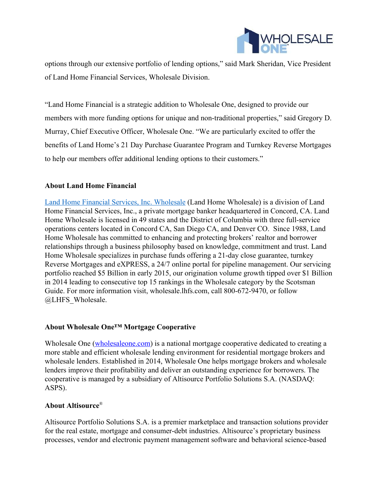

options through our extensive portfolio of lending options," said Mark Sheridan, Vice President of Land Home Financial Services, Wholesale Division.

"Land Home Financial is a strategic addition to Wholesale One, designed to provide our members with more funding options for unique and non-traditional properties," said Gregory D. Murray, Chief Executive Officer, Wholesale One. "We are particularly excited to offer the benefits of Land Home's 21 Day Purchase Guarantee Program and Turnkey Reverse Mortgages to help our members offer additional lending options to their customers."

## **About Land Home Financial**

Land Home Financial Services, Inc. [Wholesale](https://wholesale.lhfs.com/) (Land Home Wholesale) is a division of Land Home Financial Services, Inc., a private mortgage banker headquartered in Concord, CA. Land Home Wholesale is licensed in 49 states and the District of Columbia with three full-service operations centers located in Concord CA, San Diego CA, and Denver CO. Since 1988, Land Home Wholesale has committed to enhancing and protecting brokers' realtor and borrower relationships through a business philosophy based on knowledge, commitment and trust. Land Home Wholesale specializes in purchase funds offering a 21-day close guarantee, turnkey Reverse Mortgages and eXPRESS, a 24/7 online portal for pipeline management. Our servicing portfolio reached \$5 Billion in early 2015, our origination volume growth tipped over \$1 Billion in 2014 leading to consecutive top 15 rankings in the Wholesale category by the Scotsman Guide. For more information visit, wholesale.lhfs.com, call 800-672-9470, or follow @LHFS\_Wholesale.

## **About Wholesale One™ Mortgage Cooperative**

Wholesale One [\(wholesaleone.com\)](https://www.wholesaleone.com/?utm_campaign=W1LHF&utm_source=PR) is a national mortgage cooperative dedicated to creating a more stable and efficient wholesale lending environment for residential mortgage brokers and wholesale lenders. Established in 2014, Wholesale One helps mortgage brokers and wholesale lenders improve their profitability and deliver an outstanding experience for borrowers. The cooperative is managed by a subsidiary of Altisource Portfolio Solutions S.A. (NASDAQ: ASPS).

## **About Altisource**®

Altisource Portfolio Solutions S.A. is a premier marketplace and transaction solutions provider for the real estate, mortgage and consumer-debt industries. Altisource's proprietary business processes, vendor and electronic payment management software and behavioral science-based